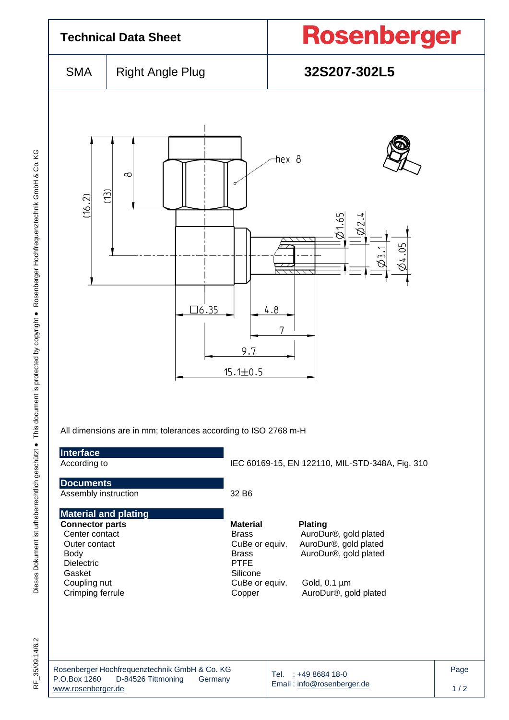| <b>Technical Data Sheet</b>                                                                                                                                                |                                                                                |                                                                                                                          | <b>Rosenberger</b>                                                                                                                      |  |  |  |
|----------------------------------------------------------------------------------------------------------------------------------------------------------------------------|--------------------------------------------------------------------------------|--------------------------------------------------------------------------------------------------------------------------|-----------------------------------------------------------------------------------------------------------------------------------------|--|--|--|
| <b>SMA</b>                                                                                                                                                                 | <b>Right Angle Plug</b>                                                        |                                                                                                                          | 32S207-302L5                                                                                                                            |  |  |  |
| (16.2)                                                                                                                                                                     | $\infty$<br>$\widehat{C}$<br>$\square$ 6.35                                    | hex 8<br>4.8<br>7<br>9.7<br>$15.1 \pm 0.5$                                                                               | 21.65<br>82.<br>14.05                                                                                                                   |  |  |  |
| All dimensions are in mm; tolerances according to ISO 2768 m-H<br>Interface<br>According to                                                                                |                                                                                | IEC 60169-15, EN 122110, MIL-STD-348A, Fig. 310                                                                          |                                                                                                                                         |  |  |  |
| <b>Documents</b><br>Assembly instruction                                                                                                                                   |                                                                                | 32 B6                                                                                                                    |                                                                                                                                         |  |  |  |
| <b>Material and plating</b><br><b>Connector parts</b><br>Center contact<br>Outer contact<br><b>Body</b><br><b>Dielectric</b><br>Gasket<br>Coupling nut<br>Crimping ferrule |                                                                                | <b>Material</b><br><b>Brass</b><br>CuBe or equiv.<br><b>Brass</b><br><b>PTFE</b><br>Silicone<br>CuBe or equiv.<br>Copper | <b>Plating</b><br>AuroDur®, gold plated<br>AuroDur®, gold plated<br>AuroDur®, gold plated<br>Gold, $0.1 \mu m$<br>AuroDur®, gold plated |  |  |  |
| P.O.Box 1260<br>www.rosenberger.de                                                                                                                                         | Rosenberger Hochfrequenztechnik GmbH & Co. KG<br>D-84526 Tittmoning<br>Germany |                                                                                                                          | Tel. : +49 8684 18-0<br>Email: info@rosenberger.de                                                                                      |  |  |  |

RF\_35/09.14/6.2